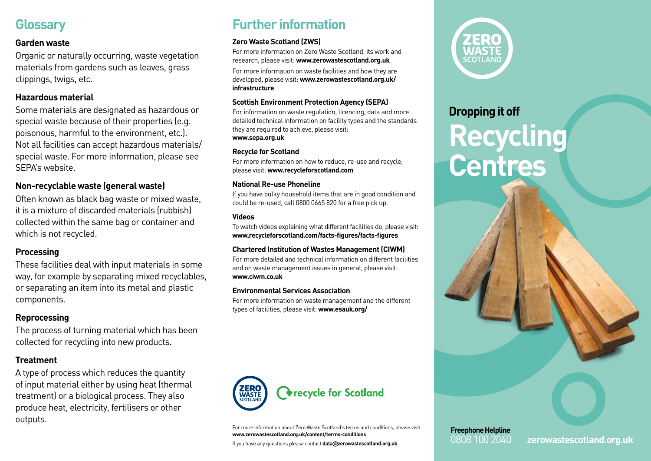## **Glossary**

#### **Garden waste**

Organic or naturally occurring, waste vegetation materials from gardens such as leaves, grass clippings, twigs, etc.

#### **Hazardous material**

Some materials are designated as hazardous or special waste because of their properties (e.g. poisonous, harmful to the environment, etc.). Not all facilities can accept hazardous materials/ special waste. For more information, please see SEPA's website.

#### **Non-recyclable waste (general waste)**

Often known as black bag waste or mixed waste, it is a mixture of discarded materials (rubbish) collected within the same bag or container and which is not recycled.

#### **Processing**

These facilities deal with input materials in some way, for example by separating mixed recyclables, or separating an item into its metal and plastic components.

#### **Reprocessing**

The process of turning material which has been collected for recycling into new products.

#### **Treatment**

A type of process which reduces the quantity of input material either by using heat (thermal treatment) or a biological process. They also produce heat, electricity, fertilisers or other outputs.

# **Further information**

#### **Zero Waste Scotland (ZWS)**

For more information on Zero Waste Scotland, its work and research, please visit: **www.zerowastescotland.org.uk**

For more information on waste facilities and how they are developed, please visit: **www.zerowastescotland.org.uk/ infrastructure**

#### **Scottish Environment Protection Agency (SEPA)**

For information on waste regulation, licencing, data and more detailed technical information on facility types and the standards they are required to achieve, please visit: **www.sepa.org.uk**

#### **Recycle for Scotland**

For more information on how to reduce, re-use and recycle, please visit: **www.recycleforscotland.com**

#### **National Re-use Phoneline**

If you have bulky household items that are in good condition and could be re-used, call 0800 0665 820 for a free pick up.

#### **Videos**

To watch videos explaining what different facilities do, please visit: **www.recycleforscotland.com/facts-figures/facts-figures**

#### **Chartered Institution of Wastes Management (CIWM)**

For more detailed and technical information on different facilities and on waste management issues in general, please visit: **www.ciwm.co.uk**

#### **Environmental Services Association**

For more information on waste management and the different types of facilities, please visit: **www.esauk.org/**



For more information about Zero Waste Scotland's terms and conditions, please visit **www.zerowastescotland.org.uk/content/terms-conditions**

If you have any questions please contact **data@zerowastescotland.org.uk**



# **Dropping it off Recycling Centres**



0808 100 2040 **zerowastescotland.org.uk**